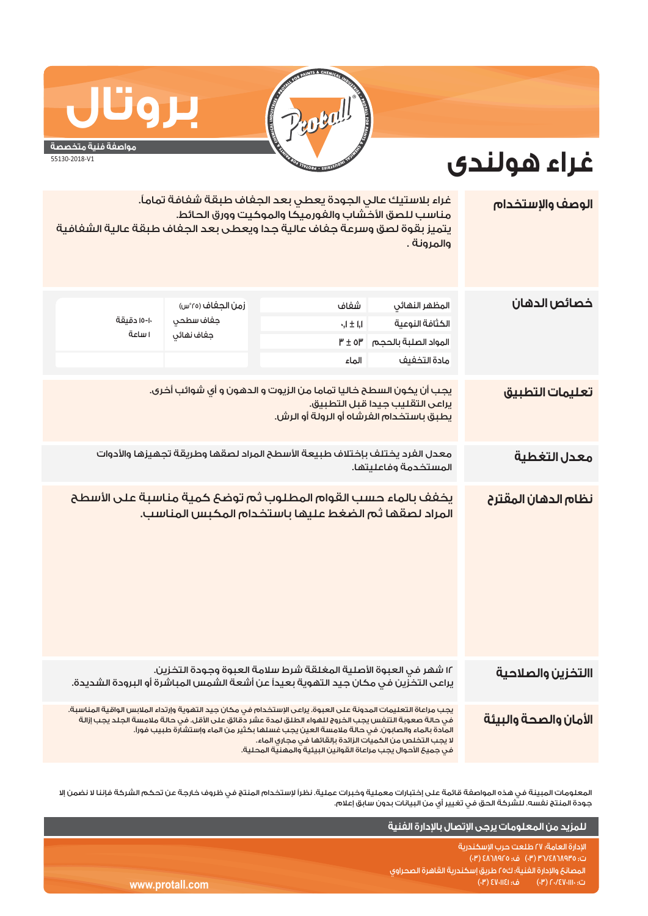

## **بروتال**

## **غراء هولندى**

**مواصفة فنية متخصصة** 55130-2018-V1

| الوصف والإستخدام      | غراء بلاستيك عالى الجودة يعطى بعد الجفاف طبقة شفافة تماماً.<br>مناسب للصق الأخشاب والغورميكا والموكيت وورق الحائط.<br>يتميز بقوة لصق وسرعة جفاف عالية جدا ويعطى بعد الجفاف طبقة عالية الشفافية<br>والمرونة .                                                                                                                                                                                                                                         |                                                                                                                                                         |                                              |                       |  |
|-----------------------|------------------------------------------------------------------------------------------------------------------------------------------------------------------------------------------------------------------------------------------------------------------------------------------------------------------------------------------------------------------------------------------------------------------------------------------------------|---------------------------------------------------------------------------------------------------------------------------------------------------------|----------------------------------------------|-----------------------|--|
| خصائص الدهان          | المظهر النهائي<br>الكثافة النوعية<br>المواد الصلبة بالحجم<br>مادة التخفيف                                                                                                                                                                                                                                                                                                                                                                            | شفاف<br>$\zeta_1 \pm 1.1$<br>$P' \pm 0P'$<br>الماء                                                                                                      | زمن الجغاف (٢٥°س)<br>جفاف سطحى<br>جفاف نهائي | ١٠-١٥ دقيقة<br>ا ساعة |  |
| تعليمات التطبيق       | يجب أن يكون السطح خاليا تماما من الزيوت و الدهون و أى شوائب أخرى.<br>يراعى التقليب جيدا قبل التطبيق.<br>يطبق باستخدام الفرشاه أو الرولة أو الرش.                                                                                                                                                                                                                                                                                                     |                                                                                                                                                         |                                              |                       |  |
| معدل التغطية          | معدل الفرد يختلف بإختلاف طبيعة الأسطح المراد لصقها وطريقة تجهيزها والأدوات<br>المستخدمة وفاعليتها.                                                                                                                                                                                                                                                                                                                                                   |                                                                                                                                                         |                                              |                       |  |
| نظام الدهان المقترح   |                                                                                                                                                                                                                                                                                                                                                                                                                                                      | يخفف بالماء حسب القوام المطلوب ثم توضع كمية مناسبة على الأسطح<br>المراد لصقها ثم الضغط عليها باستخدام المكبس المناسب.                                   |                                              |                       |  |
| االتخزين والصلاحية    |                                                                                                                                                                                                                                                                                                                                                                                                                                                      | ١٢ شهر في العبوة الأصلية المغلقة شرط سلامة العبوة وجودة التخزين.<br>يراعى التخزين في مكان جيد التهوية بعيداً عن أشعة الشمس المباشرة أو البرودة الشديدة. |                                              |                       |  |
| الأمان والصحة والبيئة | يجب مراعاة التعليمات المدونة على العبوة. يراعى الإستخدام في مكان جيد التهوية وإرتداء الملابس الواقية المناسبة.<br>فى حالة صعوبة التنفس يجب الخروج للهواء الطلق لمدة عشر دقائق على الأقل. فى حالة ملامسة الجلد يجب إزالة<br>المادة بالماء والصابون. في حالة ملامسة العين يجب غسلها بكثير من الماء وإستشارة طبيب فوراً.<br>لا يجب التخلص من الكميات الزائدة بإلقائها فى مجارى الماء.<br>فى جميعَ الأحوال يجب مراعاة القوانين البيئية والمهنية المحلية. |                                                                                                                                                         |                                              |                       |  |

المعلومات المبينة في هذه المواصفة قائمة على إختبارات معملية وخبرات عملية. نظراً لإستخدام المنتج في ظروف خارجة عن تحكم الشركة فإننا لا نضمن إلا جودة المنتج نفسه. للشركة الحق في تغيير أي من البيانات بدون سابق إعلام.

|                 | <u>ً للمزيد من المعلومات يرجى الإتصال بالإدارة الفنية</u> ا                  |
|-----------------|------------------------------------------------------------------------------|
|                 | الادارة العامة؛ ٢٧ طلعت حرب الاسكندرية<br>ت: ٥٣٩٨٢٨٦٨٩٢٥ (٣٠) ف: ٥٦٨٩٢٥ (٣٠) |
|                 | ً المصانعَ والإدارة الفنية؛ ك٢٥ طريقَ إسكندرية القاهرة الصحراوى ا            |
| www.protall.com | ات: ۲۰/٤٧٠١١١٠) هـ: ٤٧٠١١٤١ (۰۳) ا                                           |